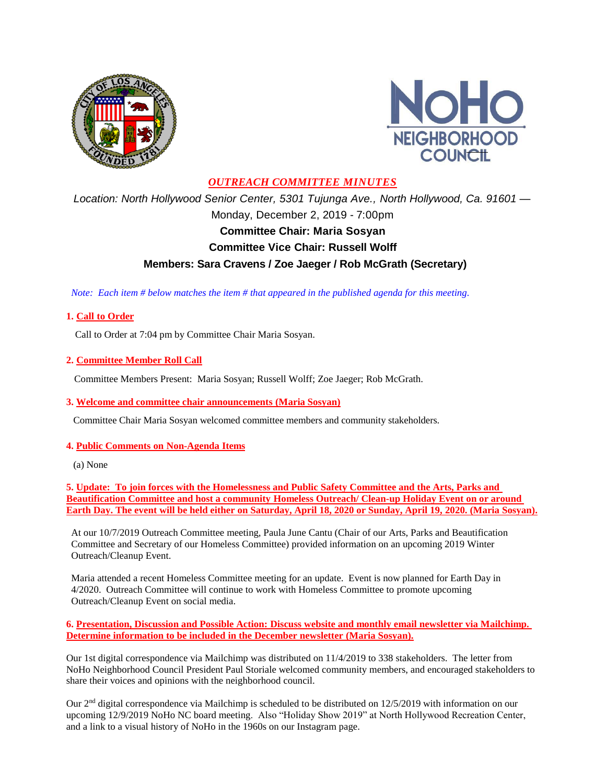



# *OUTREACH COMMITTEE MINUTES*

*Location: North Hollywood Senior Center, 5301 Tujunga Ave., North Hollywood, Ca. 91601 —* Monday, December 2, 2019 - 7:00pm **Committee Chair: Maria Sosyan Committee Vice Chair: Russell Wolff Members: Sara Cravens / Zoe Jaeger / Rob McGrath (Secretary)**

 *Note: Each item # below matches the item # that appeared in the published agenda for this meeting.*

### **1. Call to Order**

Call to Order at 7:04 pm by Committee Chair Maria Sosyan.

#### **2. Committee Member Roll Call**

Committee Members Present: Maria Sosyan; Russell Wolff; Zoe Jaeger; Rob McGrath.

#### **3. Welcome and committee chair announcements (Maria Sosyan)**

Committee Chair Maria Sosyan welcomed committee members and community stakeholders.

#### **4. Public Comments on Non-Agenda Items**

(a) None

**5. Update: To join forces with the Homelessness and Public Safety Committee and the Arts, Parks and Beautification Committee and host a community Homeless Outreach/ Clean-up Holiday Event on or around Earth Day. The event will be held either on Saturday, April 18, 2020 or Sunday, April 19, 2020. (Maria Sosyan).**

At our 10/7/2019 Outreach Committee meeting, Paula June Cantu (Chair of our Arts, Parks and Beautification Committee and Secretary of our Homeless Committee) provided information on an upcoming 2019 Winter Outreach/Cleanup Event.

Maria attended a recent Homeless Committee meeting for an update. Event is now planned for Earth Day in 4/2020. Outreach Committee will continue to work with Homeless Committee to promote upcoming Outreach/Cleanup Event on social media.

**6. Presentation, Discussion and Possible Action: Discuss website and monthly email newsletter via Mailchimp. Determine information to be included in the December newsletter (Maria Sosyan).**

Our 1st digital correspondence via Mailchimp was distributed on 11/4/2019 to 338 stakeholders. The letter from NoHo Neighborhood Council President Paul Storiale welcomed community members, and encouraged stakeholders to share their voices and opinions with the neighborhood council.

Our 2nd digital correspondence via Mailchimp is scheduled to be distributed on 12/5/2019 with information on our upcoming 12/9/2019 NoHo NC board meeting. Also "Holiday Show 2019" at North Hollywood Recreation Center, and a link to a visual history of NoHo in the 1960s on our Instagram page.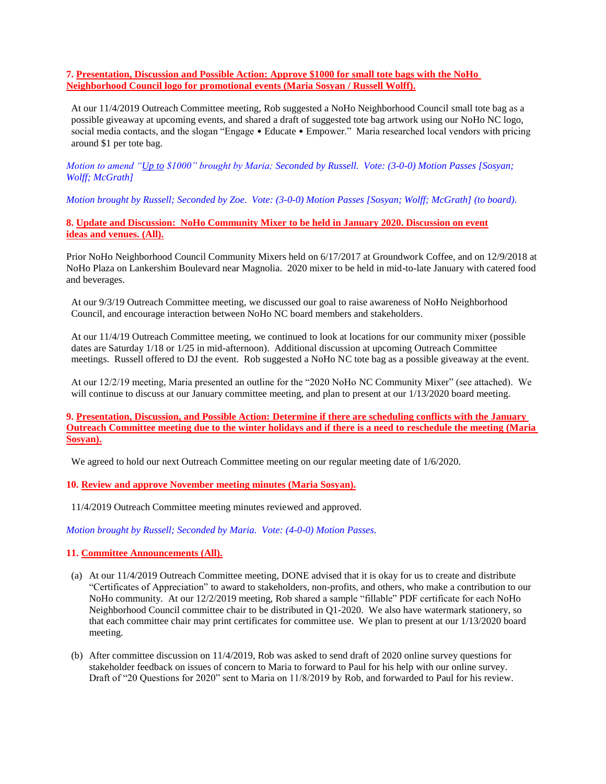**7. Presentation, Discussion and Possible Action: Approve \$1000 for small tote bags with the NoHo Neighborhood Council logo for promotional events (Maria Sosyan / Russell Wolff).**

At our 11/4/2019 Outreach Committee meeting, Rob suggested a NoHo Neighborhood Council small tote bag as a possible giveaway at upcoming events, and shared a draft of suggested tote bag artwork using our NoHo NC logo, social media contacts, and the slogan "Engage • Educate • Empower." Maria researched local vendors with pricing around \$1 per tote bag.

*Motion to amend "Up to \$1000" brought by Maria; Seconded by Russell. Vote: (3-0-0) Motion Passes [Sosyan; Wolff; McGrath]*

*Motion brought by Russell; Seconded by Zoe. Vote: (3-0-0) Motion Passes [Sosyan; Wolff; McGrath] (to board).*

**8. Update and Discussion: NoHo Community Mixer to be held in January 2020. Discussion on event ideas and venues. (All).**

Prior NoHo Neighborhood Council Community Mixers held on 6/17/2017 at Groundwork Coffee, and on 12/9/2018 at NoHo Plaza on Lankershim Boulevard near Magnolia. 2020 mixer to be held in mid-to-late January with catered food and beverages.

At our 9/3/19 Outreach Committee meeting, we discussed our goal to raise awareness of NoHo Neighborhood Council, and encourage interaction between NoHo NC board members and stakeholders.

At our 11/4/19 Outreach Committee meeting, we continued to look at locations for our community mixer (possible dates are Saturday 1/18 or 1/25 in mid-afternoon). Additional discussion at upcoming Outreach Committee meetings. Russell offered to DJ the event. Rob suggested a NoHo NC tote bag as a possible giveaway at the event.

At our 12/2/19 meeting, Maria presented an outline for the "2020 NoHo NC Community Mixer" (see attached). We will continue to discuss at our January committee meeting, and plan to present at our  $1/13/2020$  board meeting.

**9. Presentation, Discussion, and Possible Action: Determine if there are scheduling conflicts with the January Outreach Committee meeting due to the winter holidays and if there is a need to reschedule the meeting (Maria Sosyan).**

We agreed to hold our next Outreach Committee meeting on our regular meeting date of  $1/6/2020$ .

#### **10. Review and approve November meeting minutes (Maria Sosyan).**

11/4/2019 Outreach Committee meeting minutes reviewed and approved.

*Motion brought by Russell; Seconded by Maria. Vote: (4-0-0) Motion Passes.*

#### **11. Committee Announcements (All).**

- (a) At our 11/4/2019 Outreach Committee meeting, DONE advised that it is okay for us to create and distribute "Certificates of Appreciation" to award to stakeholders, non-profits, and others, who make a contribution to our NoHo community. At our 12/2/2019 meeting, Rob shared a sample "fillable" PDF certificate for each NoHo Neighborhood Council committee chair to be distributed in Q1-2020. We also have watermark stationery, so that each committee chair may print certificates for committee use. We plan to present at our 1/13/2020 board meeting.
- (b) After committee discussion on 11/4/2019, Rob was asked to send draft of 2020 online survey questions for stakeholder feedback on issues of concern to Maria to forward to Paul for his help with our online survey. Draft of "20 Questions for 2020" sent to Maria on 11/8/2019 by Rob, and forwarded to Paul for his review.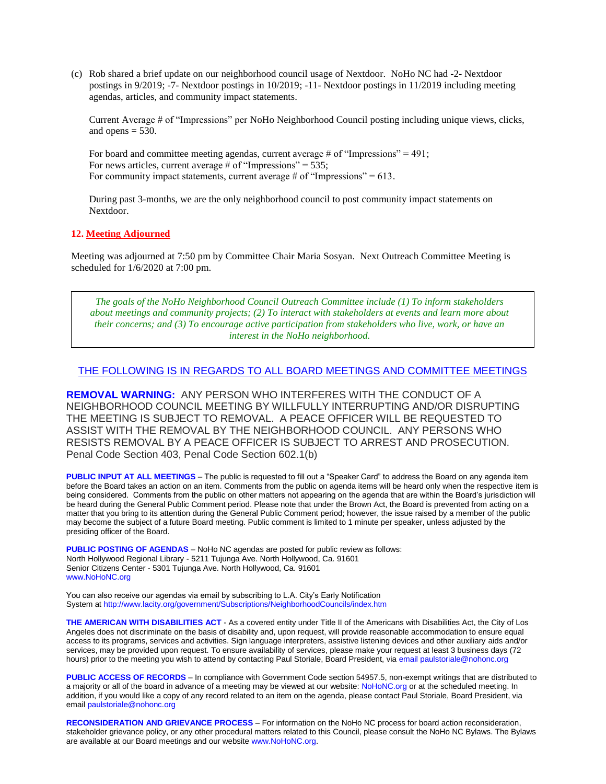(c) Rob shared a brief update on our neighborhood council usage of Nextdoor. NoHo NC had -2- Nextdoor postings in 9/2019; -7- Nextdoor postings in 10/2019; -11- Nextdoor postings in 11/2019 including meeting agendas, articles, and community impact statements.

Current Average # of "Impressions" per NoHo Neighborhood Council posting including unique views, clicks, and opens  $= 530$ .

For board and committee meeting agendas, current average # of "Impressions" =  $491$ ; For news articles, current average  $\#$  of "Impressions" = 535; For community impact statements, current average  $\#$  of "Impressions" = 613.

During past 3-months, we are the only neighborhood council to post community impact statements on Nextdoor.

#### **12. Meeting Adjourned**

Meeting was adjourned at 7:50 pm by Committee Chair Maria Sosyan. Next Outreach Committee Meeting is scheduled for 1/6/2020 at 7:00 pm.

*The goals of the NoHo Neighborhood Council Outreach Committee include (1) To inform stakeholders about meetings and community projects; (2) To interact with stakeholders at events and learn more about their concerns; and (3) To encourage active participation from stakeholders who live, work, or have an interest in the NoHo neighborhood.*

#### THE FOLLOWING IS IN REGARDS TO ALL BOARD MEETINGS AND COMMITTEE MEETINGS

**REMOVAL WARNING:** ANY PERSON WHO INTERFERES WITH THE CONDUCT OF A NEIGHBORHOOD COUNCIL MEETING BY WILLFULLY INTERRUPTING AND/OR DISRUPTING THE MEETING IS SUBJECT TO REMOVAL. A PEACE OFFICER WILL BE REQUESTED TO ASSIST WITH THE REMOVAL BY THE NEIGHBORHOOD COUNCIL. ANY PERSONS WHO RESISTS REMOVAL BY A PEACE OFFICER IS SUBJECT TO ARREST AND PROSECUTION. Penal Code Section 403, Penal Code Section 602.1(b)

**PUBLIC INPUT AT ALL MEETINGS** – The public is requested to fill out a "Speaker Card" to address the Board on any agenda item before the Board takes an action on an item. Comments from the public on agenda items will be heard only when the respective item is being considered. Comments from the public on other matters not appearing on the agenda that are within the Board's jurisdiction will be heard during the General Public Comment period. Please note that under the Brown Act, the Board is prevented from acting on a matter that you bring to its attention during the General Public Comment period; however, the issue raised by a member of the public may become the subject of a future Board meeting. Public comment is limited to 1 minute per speaker, unless adjusted by the presiding officer of the Board.

**PUBLIC POSTING OF AGENDAS** – NoHo NC agendas are posted for public review as follows: North Hollywood Regional Library - 5211 Tujunga Ave. North Hollywood, Ca. 91601 Senior Citizens Center - 5301 Tujunga Ave. North Hollywood, Ca. 91601 www.NoHoNC.org

You can also receive our agendas via email by subscribing to L.A. City's Early Notification System at http://www.lacity.org/government/Subscriptions/NeighborhoodCouncils/index.htm

**THE AMERICAN WITH DISABILITIES ACT** - As a covered entity under Title II of the Americans with Disabilities Act, the City of Los Angeles does not discriminate on the basis of disability and, upon request, will provide reasonable accommodation to ensure equal access to its programs, services and activities. Sign language interpreters, assistive listening devices and other auxiliary aids and/or services, may be provided upon request. To ensure availability of services, please make your request at least 3 business days (72 hours) prior to the meeting you wish to attend by contacting Paul Storiale, Board President, via email paulstoriale@nohonc.org

**PUBLIC ACCESS OF RECORDS** – In compliance with Government Code section 54957.5, non-exempt writings that are distributed to a majority or all of the board in advance of a meeting may be viewed at our website: NoHoNC.org or at the scheduled meeting. In addition, if you would like a copy of any record related to an item on the agenda, please contact Paul Storiale, Board President, via email paulstoriale@nohonc.org

**RECONSIDERATION AND GRIEVANCE PROCESS** – For information on the NoHo NC process for board action reconsideration, stakeholder grievance policy, or any other procedural matters related to this Council, please consult the NoHo NC Bylaws. The Bylaws are available at our Board meetings and our website www.NoHoNC.org.